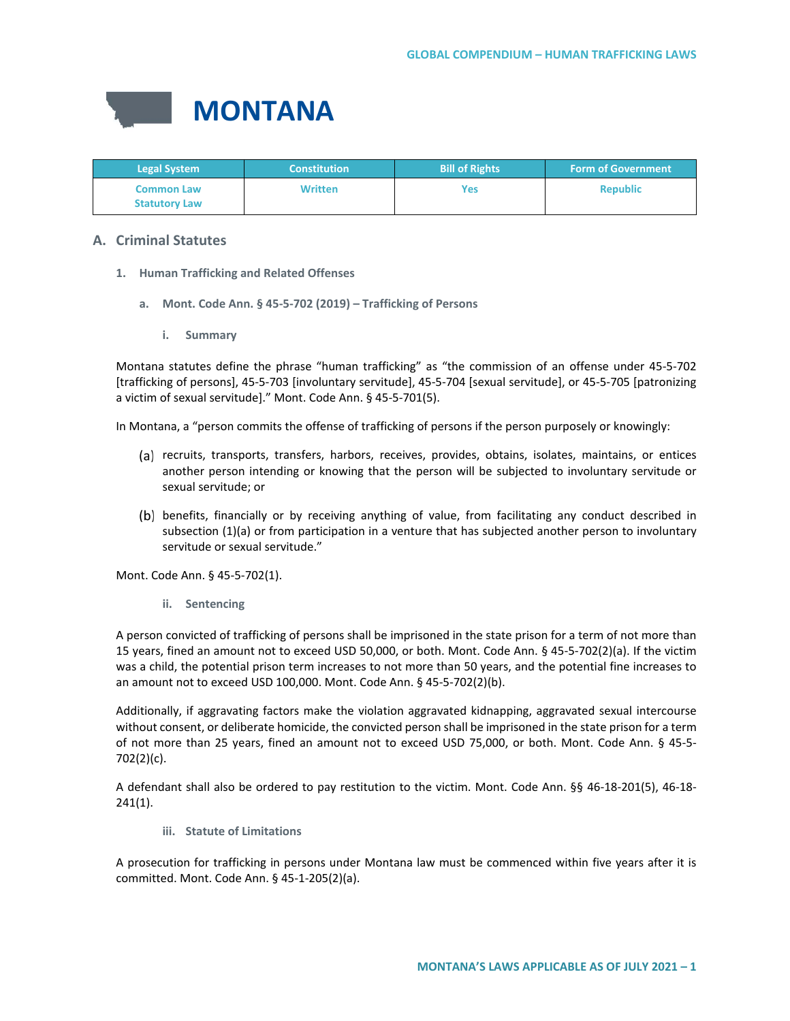

| <b>Legal System</b>                       | <b>Constitution</b> | <b>Bill of Rights</b> | <b>Form of Government</b> |
|-------------------------------------------|---------------------|-----------------------|---------------------------|
| <b>Common Law</b><br><b>Statutory Law</b> | <b>Written</b>      | Yes                   | <b>Republic</b>           |

# **A. Criminal Statutes**

- **1. Human Trafficking and Related Offenses**
	- **a. Mont. Code Ann. § 45-5-702 (2019) – Trafficking of Persons**
		- **i. Summary**

Montana statutes define the phrase "human trafficking" as "the commission of an offense under 45-5-702 [trafficking of persons], 45-5-703 [involuntary servitude], 45-5-704 [sexual servitude], or 45-5-705 [patronizing a victim of sexual servitude]." Mont. Code Ann. § 45-5-701(5).

In Montana, a "person commits the offense of trafficking of persons if the person purposely or knowingly:

- recruits, transports, transfers, harbors, receives, provides, obtains, isolates, maintains, or entices another person intending or knowing that the person will be subjected to involuntary servitude or sexual servitude; or
- (b) benefits, financially or by receiving anything of value, from facilitating any conduct described in subsection (1)(a) or from participation in a venture that has subjected another person to involuntary servitude or sexual servitude."

Mont. Code Ann. § 45-5-702(1).

**ii. Sentencing**

A person convicted of trafficking of persons shall be imprisoned in the state prison for a term of not more than 15 years, fined an amount not to exceed USD 50,000, or both. Mont. Code Ann. § 45-5-702(2)(a). If the victim was a child, the potential prison term increases to not more than 50 years, and the potential fine increases to an amount not to exceed USD 100,000. Mont. Code Ann. § 45-5-702(2)(b).

Additionally, if aggravating factors make the violation aggravated kidnapping, aggravated sexual intercourse without consent, or deliberate homicide, the convicted person shall be imprisoned in the state prison for a term of not more than 25 years, fined an amount not to exceed USD 75,000, or both. Mont. Code Ann. § 45-5- 702(2)(c).

A defendant shall also be ordered to pay restitution to the victim. Mont. Code Ann. §§ 46-18-201(5), 46-18- 241(1).

**iii. Statute of Limitations**

A prosecution for trafficking in persons under Montana law must be commenced within five years after it is committed. Mont. Code Ann. § 45-1-205(2)(a).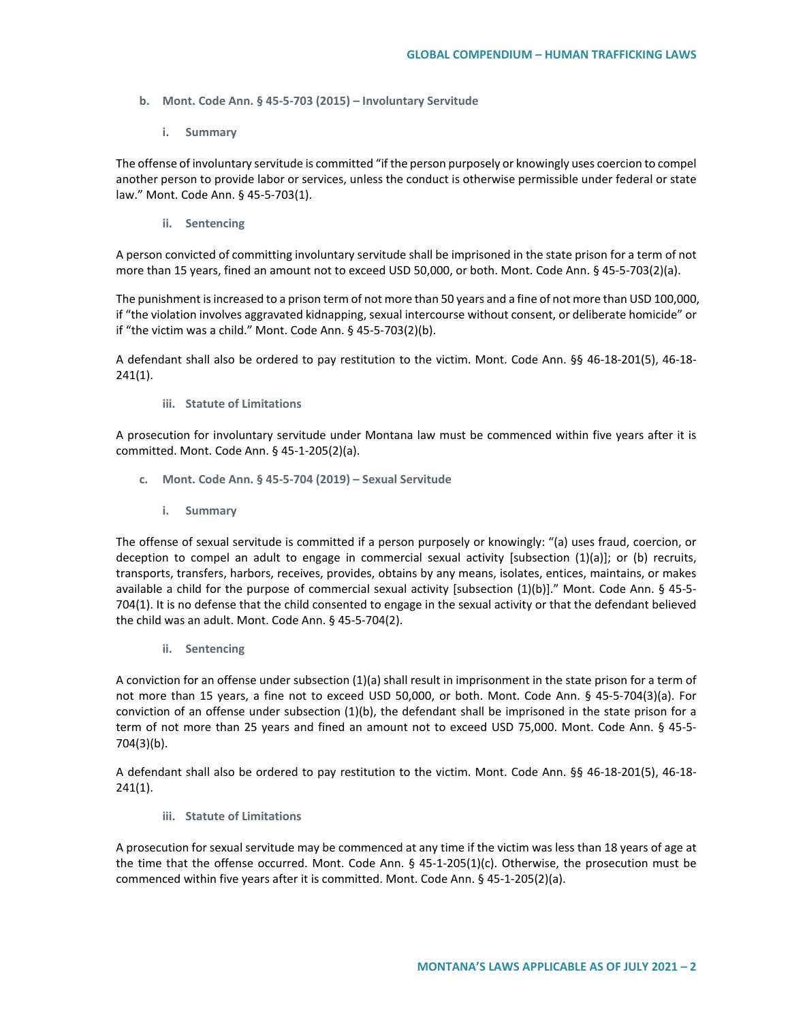- **b. Mont. Code Ann. § 45-5-703 (2015) – Involuntary Servitude**
	- **i. Summary**

The offense of involuntary servitude is committed "if the person purposely or knowingly uses coercion to compel another person to provide labor or services, unless the conduct is otherwise permissible under federal or state law." Mont. Code Ann. § 45-5-703(1).

**ii. Sentencing**

A person convicted of committing involuntary servitude shall be imprisoned in the state prison for a term of not more than 15 years, fined an amount not to exceed USD 50,000, or both. Mont. Code Ann. § 45-5-703(2)(a).

The punishment is increased to a prison term of not more than 50 years and a fine of not more than USD 100,000, if "the violation involves aggravated kidnapping, sexual intercourse without consent, or deliberate homicide" or if "the victim was a child." Mont. Code Ann. § 45-5-703(2)(b).

A defendant shall also be ordered to pay restitution to the victim. Mont. Code Ann. §§ 46-18-201(5), 46-18- 241(1).

**iii. Statute of Limitations**

A prosecution for involuntary servitude under Montana law must be commenced within five years after it is committed. Mont. Code Ann. § 45-1-205(2)(a).

- **c. Mont. Code Ann. § 45-5-704 (2019) – Sexual Servitude**
	- **i. Summary**

The offense of sexual servitude is committed if a person purposely or knowingly: "(a) uses fraud, coercion, or deception to compel an adult to engage in commercial sexual activity [subsection (1)(a)]; or (b) recruits, transports, transfers, harbors, receives, provides, obtains by any means, isolates, entices, maintains, or makes available a child for the purpose of commercial sexual activity [subsection (1)(b)]." Mont. Code Ann. § 45-5- 704(1). It is no defense that the child consented to engage in the sexual activity or that the defendant believed the child was an adult. Mont. Code Ann. § 45-5-704(2).

**ii. Sentencing**

A conviction for an offense under subsection (1)(a) shall result in imprisonment in the state prison for a term of not more than 15 years, a fine not to exceed USD 50,000, or both. Mont. Code Ann. § 45-5-704(3)(a). For conviction of an offense under subsection (1)(b), the defendant shall be imprisoned in the state prison for a term of not more than 25 years and fined an amount not to exceed USD 75,000. Mont. Code Ann. § 45-5- 704(3)(b).

A defendant shall also be ordered to pay restitution to the victim. Mont. Code Ann. §§ 46-18-201(5), 46-18- 241(1).

**iii. Statute of Limitations**

A prosecution for sexual servitude may be commenced at any time if the victim was less than 18 years of age at the time that the offense occurred. Mont. Code Ann. § 45-1-205(1)(c). Otherwise, the prosecution must be commenced within five years after it is committed. Mont. Code Ann. § 45-1-205(2)(a).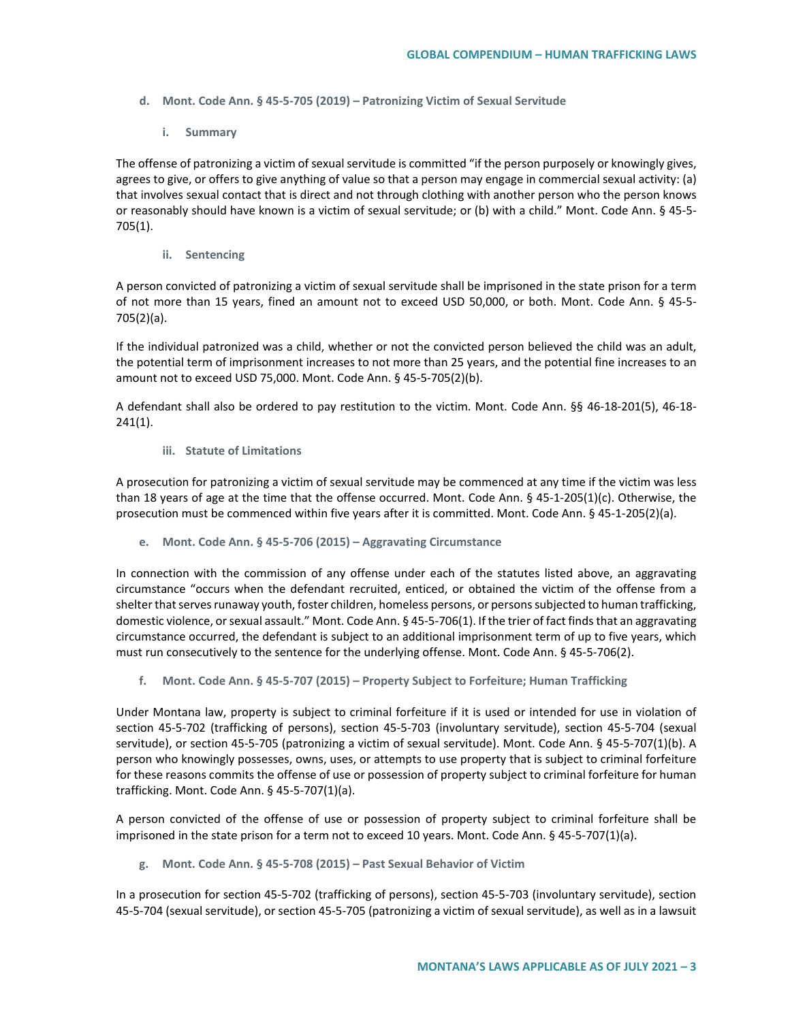- **d. Mont. Code Ann. § 45-5-705 (2019) – Patronizing Victim of Sexual Servitude**
	- **i. Summary**

The offense of patronizing a victim of sexual servitude is committed "if the person purposely or knowingly gives, agrees to give, or offers to give anything of value so that a person may engage in commercial sexual activity: (a) that involves sexual contact that is direct and not through clothing with another person who the person knows or reasonably should have known is a victim of sexual servitude; or (b) with a child." Mont. Code Ann. § 45-5- 705(1).

**ii. Sentencing**

A person convicted of patronizing a victim of sexual servitude shall be imprisoned in the state prison for a term of not more than 15 years, fined an amount not to exceed USD 50,000, or both. Mont. Code Ann. § 45-5- 705(2)(a).

If the individual patronized was a child, whether or not the convicted person believed the child was an adult, the potential term of imprisonment increases to not more than 25 years, and the potential fine increases to an amount not to exceed USD 75,000. Mont. Code Ann. § 45-5-705(2)(b).

A defendant shall also be ordered to pay restitution to the victim. Mont. Code Ann. §§ 46-18-201(5), 46-18- 241(1).

## **iii. Statute of Limitations**

A prosecution for patronizing a victim of sexual servitude may be commenced at any time if the victim was less than 18 years of age at the time that the offense occurred. Mont. Code Ann. § 45-1-205(1)(c). Otherwise, the prosecution must be commenced within five years after it is committed. Mont. Code Ann. § 45-1-205(2)(a).

**e. Mont. Code Ann. § 45-5-706 (2015) – Aggravating Circumstance**

In connection with the commission of any offense under each of the statutes listed above, an aggravating circumstance "occurs when the defendant recruited, enticed, or obtained the victim of the offense from a shelter that serves runaway youth, foster children, homeless persons, or persons subjected to human trafficking, domestic violence, or sexual assault." Mont. Code Ann. § 45-5-706(1). If the trier of fact finds that an aggravating circumstance occurred, the defendant is subject to an additional imprisonment term of up to five years, which must run consecutively to the sentence for the underlying offense. Mont. Code Ann. § 45-5-706(2).

**f. Mont. Code Ann. § 45-5-707 (2015) – Property Subject to Forfeiture; Human Trafficking**

Under Montana law, property is subject to criminal forfeiture if it is used or intended for use in violation of section 45-5-702 (trafficking of persons), section 45-5-703 (involuntary servitude), section 45-5-704 (sexual servitude), or section 45-5-705 (patronizing a victim of sexual servitude). Mont. Code Ann. § 45-5-707(1)(b). A person who knowingly possesses, owns, uses, or attempts to use property that is subject to criminal forfeiture for these reasons commits the offense of use or possession of property subject to criminal forfeiture for human trafficking. Mont. Code Ann. § 45-5-707(1)(a).

A person convicted of the offense of use or possession of property subject to criminal forfeiture shall be imprisoned in the state prison for a term not to exceed 10 years. Mont. Code Ann. § 45-5-707(1)(a).

**g. Mont. Code Ann. § 45-5-708 (2015) – Past Sexual Behavior of Victim**

In a prosecution for section 45-5-702 (trafficking of persons), section 45-5-703 (involuntary servitude), section 45-5-704 (sexual servitude), or section 45-5-705 (patronizing a victim of sexual servitude), as well as in a lawsuit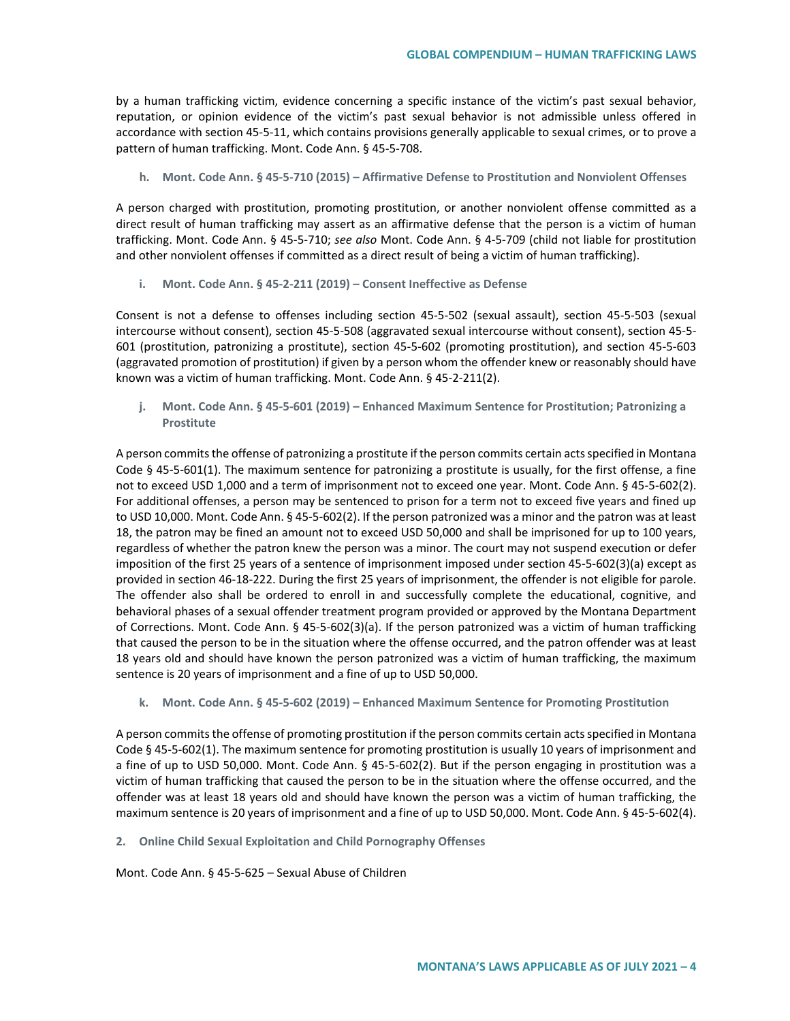by a human trafficking victim, evidence concerning a specific instance of the victim's past sexual behavior, reputation, or opinion evidence of the victim's past sexual behavior is not admissible unless offered in accordance with section 45-5-11, which contains provisions generally applicable to sexual crimes, or to prove a pattern of human trafficking. Mont. Code Ann. § 45-5-708.

**h. Mont. Code Ann. § 45-5-710 (2015) – Affirmative Defense to Prostitution and Nonviolent Offenses**

A person charged with prostitution, promoting prostitution, or another nonviolent offense committed as a direct result of human trafficking may assert as an affirmative defense that the person is a victim of human trafficking. Mont. Code Ann. § 45-5-710; *see also* Mont. Code Ann. § 4-5-709 (child not liable for prostitution and other nonviolent offenses if committed as a direct result of being a victim of human trafficking).

**i. Mont. Code Ann. § 45-2-211 (2019) – Consent Ineffective as Defense**

Consent is not a defense to offenses including section 45-5-502 (sexual assault), section 45-5-503 (sexual intercourse without consent), section 45-5-508 (aggravated sexual intercourse without consent), section 45-5- 601 (prostitution, patronizing a prostitute), section 45-5-602 (promoting prostitution), and section 45-5-603 (aggravated promotion of prostitution) if given by a person whom the offender knew or reasonably should have known was a victim of human trafficking. Mont. Code Ann. § 45-2-211(2).

**j. Mont. Code Ann. § 45-5-601 (2019) – Enhanced Maximum Sentence for Prostitution; Patronizing a Prostitute**

A person commits the offense of patronizing a prostitute if the person commits certain acts specified in Montana Code § 45-5-601(1). The maximum sentence for patronizing a prostitute is usually, for the first offense, a fine not to exceed USD 1,000 and a term of imprisonment not to exceed one year. Mont. Code Ann. § 45-5-602(2). For additional offenses, a person may be sentenced to prison for a term not to exceed five years and fined up to USD 10,000. Mont. Code Ann. § 45-5-602(2). If the person patronized was a minor and the patron was at least 18, the patron may be fined an amount not to exceed USD 50,000 and shall be imprisoned for up to 100 years, regardless of whether the patron knew the person was a minor. The court may not suspend execution or defer imposition of the first 25 years of a sentence of imprisonment imposed under section 45-5-602(3)(a) except as provided in section 46-18-222. During the first 25 years of imprisonment, the offender is not eligible for parole. The offender also shall be ordered to enroll in and successfully complete the educational, cognitive, and behavioral phases of a sexual offender treatment program provided or approved by the Montana Department of Corrections. Mont. Code Ann. § 45-5-602(3)(a). If the person patronized was a victim of human trafficking that caused the person to be in the situation where the offense occurred, and the patron offender was at least 18 years old and should have known the person patronized was a victim of human trafficking, the maximum sentence is 20 years of imprisonment and a fine of up to USD 50,000.

**k. Mont. Code Ann. § 45-5-602 (2019) – Enhanced Maximum Sentence for Promoting Prostitution**

A person commits the offense of promoting prostitution if the person commits certain acts specified in Montana Code § 45-5-602(1). The maximum sentence for promoting prostitution is usually 10 years of imprisonment and a fine of up to USD 50,000. Mont. Code Ann. § 45-5-602(2). But if the person engaging in prostitution was a victim of human trafficking that caused the person to be in the situation where the offense occurred, and the offender was at least 18 years old and should have known the person was a victim of human trafficking, the maximum sentence is 20 years of imprisonment and a fine of up to USD 50,000. Mont. Code Ann. § 45-5-602(4).

**2. Online Child Sexual Exploitation and Child Pornography Offenses**

Mont. Code Ann. § 45-5-625 – Sexual Abuse of Children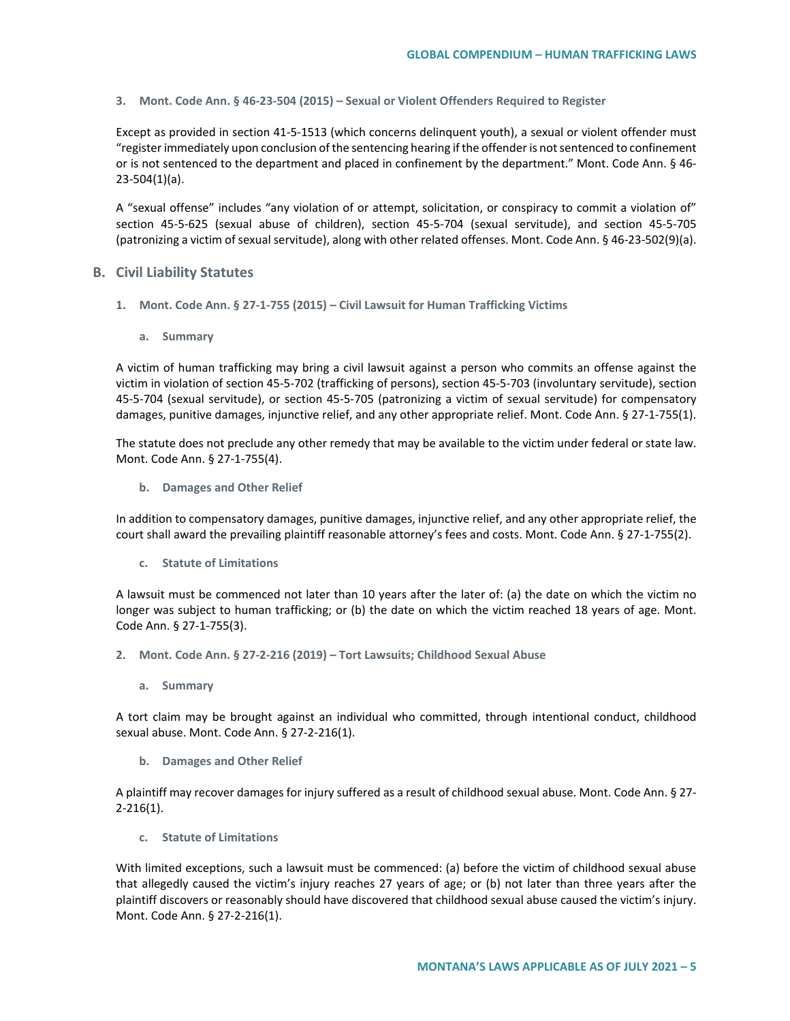**3. Mont. Code Ann. § 46-23-504 (2015) – Sexual or Violent Offenders Required to Register** 

Except as provided in section 41-5-1513 (which concerns delinquent youth), a sexual or violent offender must "register immediately upon conclusion of the sentencing hearing if the offender is not sentenced to confinement or is not sentenced to the department and placed in confinement by the department." Mont. Code Ann. § 46- 23-504(1)(a).

A "sexual offense" includes "any violation of or attempt, solicitation, or conspiracy to commit a violation of" section 45-5-625 (sexual abuse of children), section 45-5-704 (sexual servitude), and section 45-5-705 (patronizing a victim of sexual servitude), along with other related offenses. Mont. Code Ann. § 46-23-502(9)(a).

#### **B. Civil Liability Statutes**

- **1. Mont. Code Ann. § 27-1-755 (2015) – Civil Lawsuit for Human Trafficking Victims**
	- **a. Summary**

A victim of human trafficking may bring a civil lawsuit against a person who commits an offense against the victim in violation of section 45-5-702 (trafficking of persons), section 45-5-703 (involuntary servitude), section 45-5-704 (sexual servitude), or section 45-5-705 (patronizing a victim of sexual servitude) for compensatory damages, punitive damages, injunctive relief, and any other appropriate relief. Mont. Code Ann. § 27-1-755(1).

The statute does not preclude any other remedy that may be available to the victim under federal or state law. Mont. Code Ann. § 27-1-755(4).

**b. Damages and Other Relief**

In addition to compensatory damages, punitive damages, injunctive relief, and any other appropriate relief, the court shall award the prevailing plaintiff reasonable attorney's fees and costs. Mont. Code Ann. § 27-1-755(2).

**c. Statute of Limitations**

A lawsuit must be commenced not later than 10 years after the later of: (a) the date on which the victim no longer was subject to human trafficking; or (b) the date on which the victim reached 18 years of age. Mont. Code Ann. § 27-1-755(3).

- **2. Mont. Code Ann. § 27-2-216 (2019) – Tort Lawsuits; Childhood Sexual Abuse**
	- **a. Summary**

A tort claim may be brought against an individual who committed, through intentional conduct, childhood sexual abuse. Mont. Code Ann. § 27-2-216(1).

**b. Damages and Other Relief**

A plaintiff may recover damages for injury suffered as a result of childhood sexual abuse. Mont. Code Ann. § 27- 2-216(1).

**c. Statute of Limitations**

With limited exceptions, such a lawsuit must be commenced: (a) before the victim of childhood sexual abuse that allegedly caused the victim's injury reaches 27 years of age; or (b) not later than three years after the plaintiff discovers or reasonably should have discovered that childhood sexual abuse caused the victim's injury. Mont. Code Ann. § 27-2-216(1).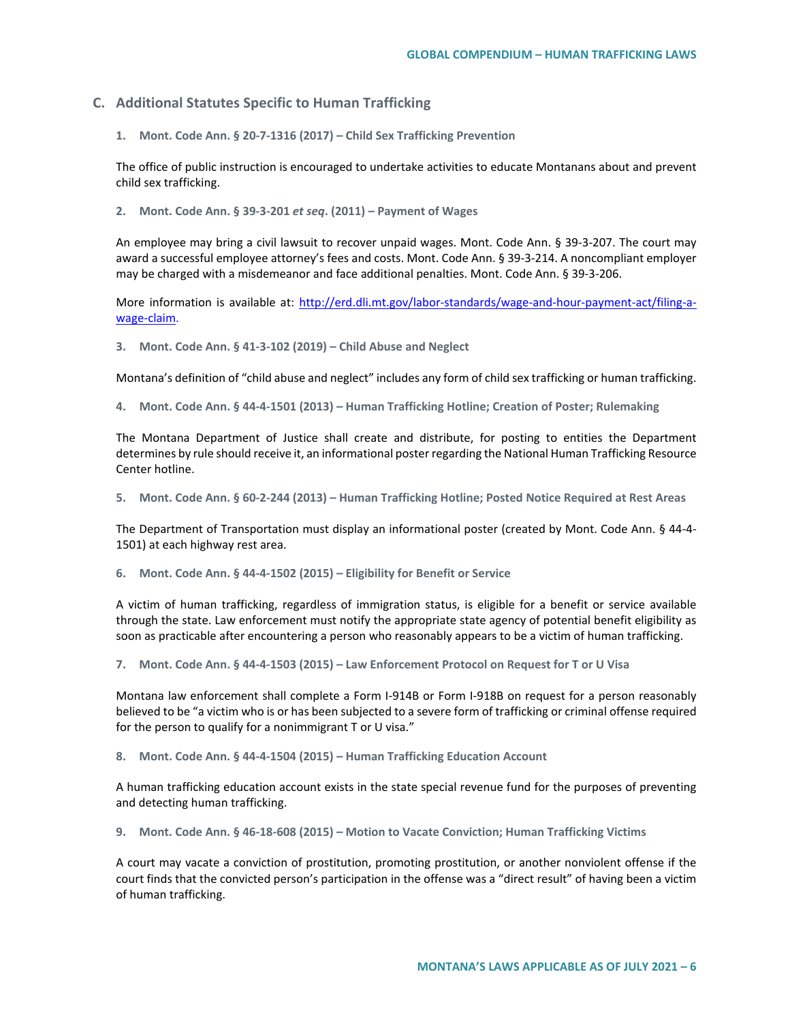## **C. Additional Statutes Specific to Human Trafficking**

**1. Mont. Code Ann. § 20-7-1316 (2017) – Child Sex Trafficking Prevention**

The office of public instruction is encouraged to undertake activities to educate Montanans about and prevent child sex trafficking.

**2. Mont. Code Ann. § 39-3-201** *et seq***. (2011) – Payment of Wages**

An employee may bring a civil lawsuit to recover unpaid wages. Mont. Code Ann. § 39-3-207. The court may award a successful employee attorney's fees and costs. Mont. Code Ann. § 39-3-214. A noncompliant employer may be charged with a misdemeanor and face additional penalties. Mont. Code Ann. § 39-3-206.

More information is available at: [http://erd.dli.mt.gov/labor-standards/wage-and-hour-payment-act/filing-a](http://erd.dli.mt.gov/labor-standards/wage-and-hour-payment-act/filing-a-wage-claim)[wage-claim.](http://erd.dli.mt.gov/labor-standards/wage-and-hour-payment-act/filing-a-wage-claim)

**3. Mont. Code Ann. § 41-3-102 (2019) – Child Abuse and Neglect**

Montana's definition of "child abuse and neglect" includes any form of child sex trafficking or human trafficking.

**4. Mont. Code Ann. § 44-4-1501 (2013) – Human Trafficking Hotline; Creation of Poster; Rulemaking** 

The Montana Department of Justice shall create and distribute, for posting to entities the Department determines by rule should receive it, an informational poster regarding the National Human Trafficking Resource Center hotline.

**5. Mont. Code Ann. § 60-2-244 (2013) – Human Trafficking Hotline; Posted Notice Required at Rest Areas** 

The Department of Transportation must display an informational poster (created by Mont. Code Ann. § 44-4- 1501) at each highway rest area.

**6. Mont. Code Ann. § 44-4-1502 (2015) – Eligibility for Benefit or Service**

A victim of human trafficking, regardless of immigration status, is eligible for a benefit or service available through the state. Law enforcement must notify the appropriate state agency of potential benefit eligibility as soon as practicable after encountering a person who reasonably appears to be a victim of human trafficking.

**7. Mont. Code Ann. § 44-4-1503 (2015) – Law Enforcement Protocol on Request for T or U Visa**

Montana law enforcement shall complete a Form I-914B or Form I-918B on request for a person reasonably believed to be "a victim who is or has been subjected to a severe form of trafficking or criminal offense required for the person to qualify for a nonimmigrant T or U visa."

**8. Mont. Code Ann. § 44-4-1504 (2015) – Human Trafficking Education Account**

A human trafficking education account exists in the state special revenue fund for the purposes of preventing and detecting human trafficking.

**9. Mont. Code Ann. § 46-18-608 (2015) – Motion to Vacate Conviction; Human Trafficking Victims**

A court may vacate a conviction of prostitution, promoting prostitution, or another nonviolent offense if the court finds that the convicted person's participation in the offense was a "direct result" of having been a victim of human trafficking.